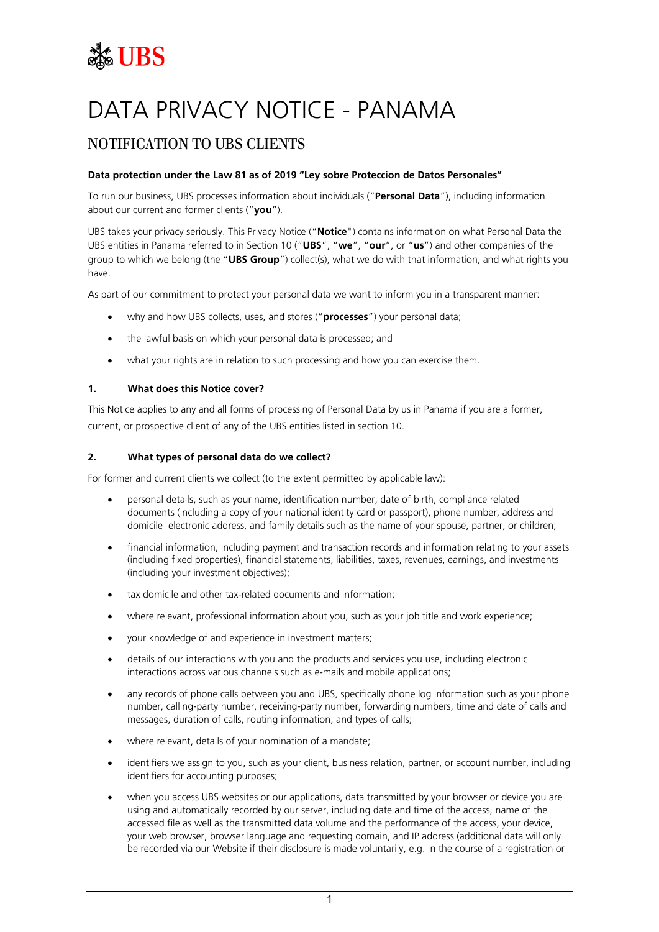# **SEE UBS**

## DATA PRIVACY NOTICE - PANAMA

### NOTIFICATION TO UBS CLIENTS

#### **Data protection under the Law 81 as of 2019 "Ley sobre Proteccion de Datos Personales"**

To run our business, UBS processes information about individuals ("**Personal Data**"), including information about our current and former clients ("**you**").

UBS takes your privacy seriously. This Privacy Notice ("**Notice**") contains information on what Personal Data the UBS entities in Panama referred to in Section 10 ("**UBS**", "**we**", "**our**", or "**us**") and other companies of the group to which we belong (the "**UBS Group**") collect(s), what we do with that information, and what rights you have.

As part of our commitment to protect your personal data we want to inform you in a transparent manner:

- why and how UBS collects, uses, and stores ("**processes**") your personal data;
- the lawful basis on which your personal data is processed; and
- what your rights are in relation to such processing and how you can exercise them.

#### **1. What does this Notice cover?**

This Notice applies to any and all forms of processing of Personal Data by us in Panama if you are a former, current, or prospective client of any of the UBS entities listed in section 10.

#### **2. What types of personal data do we collect?**

For former and current clients we collect (to the extent permitted by applicable law):

- personal details, such as your name, identification number, date of birth, compliance related documents (including a copy of your national identity card or passport), phone number, address and domicile electronic address, and family details such as the name of your spouse, partner, or children;
- financial information, including payment and transaction records and information relating to your assets (including fixed properties), financial statements, liabilities, taxes, revenues, earnings, and investments (including your investment objectives);
- tax domicile and other tax-related documents and information;
- where relevant, professional information about you, such as your job title and work experience;
- your knowledge of and experience in investment matters;
- details of our interactions with you and the products and services you use, including electronic interactions across various channels such as e-mails and mobile applications;
- any records of phone calls between you and UBS, specifically phone log information such as your phone number, calling-party number, receiving-party number, forwarding numbers, time and date of calls and messages, duration of calls, routing information, and types of calls;
- where relevant, details of your nomination of a mandate;
- identifiers we assign to you, such as your client, business relation, partner, or account number, including identifiers for accounting purposes;
- when you access UBS websites or our applications, data transmitted by your browser or device you are using and automatically recorded by our server, including date and time of the access, name of the accessed file as well as the transmitted data volume and the performance of the access, your device, your web browser, browser language and requesting domain, and IP address (additional data will only be recorded via our Website if their disclosure is made voluntarily, e.g. in the course of a registration or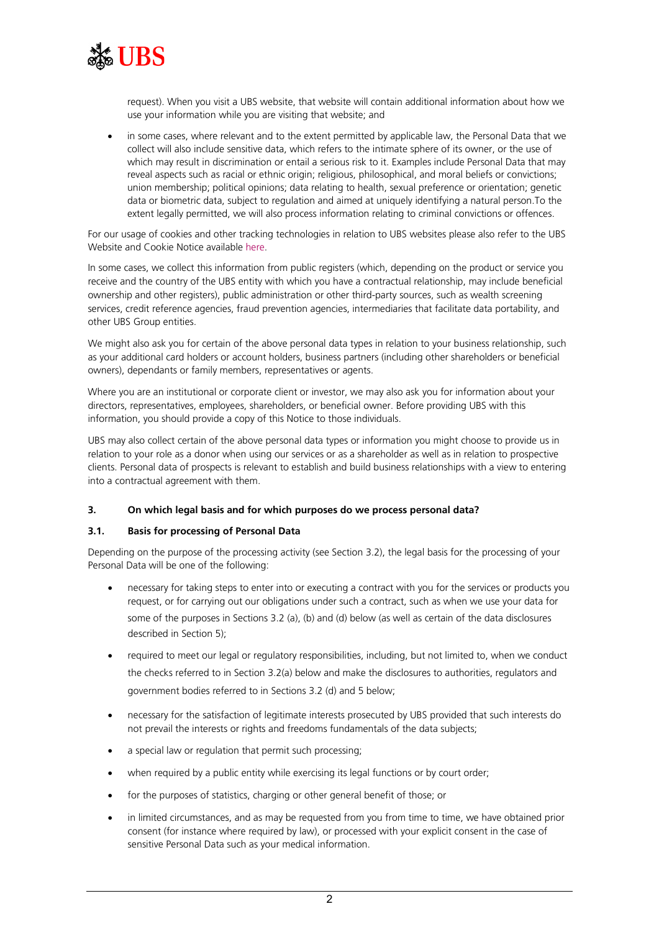

request). When you visit a UBS website, that website will contain additional information about how we use your information while you are visiting that website; and

in some cases, where relevant and to the extent permitted by applicable law, the Personal Data that we collect will also include sensitive data, which refers to the intimate sphere of its owner, or the use of which may result in discrimination or entail a serious risk to it. Examples include Personal Data that may reveal aspects such as racial or ethnic origin; religious, philosophical, and moral beliefs or convictions; union membership; political opinions; data relating to health, sexual preference or orientation; genetic data or biometric data, subject to regulation and aimed at uniquely identifying a natural person.To the extent legally permitted, we will also process information relating to criminal convictions or offences.

For our usage of cookies and other tracking technologies in relation to UBS websites please also refer to the UBS Website and Cookie Notice available [here.](https://www.ubs.com/global/en/legal/privacy.html)

In some cases, we collect this information from public registers (which, depending on the product or service you receive and the country of the UBS entity with which you have a contractual relationship, may include beneficial ownership and other registers), public administration or other third-party sources, such as wealth screening services, credit reference agencies, fraud prevention agencies, intermediaries that facilitate data portability, and other UBS Group entities.

We might also ask you for certain of the above personal data types in relation to your business relationship, such as your additional card holders or account holders, business partners (including other shareholders or beneficial owners), dependants or family members, representatives or agents.

Where you are an institutional or corporate client or investor, we may also ask you for information about your directors, representatives, employees, shareholders, or beneficial owner. Before providing UBS with this information, you should provide a copy of this Notice to those individuals.

UBS may also collect certain of the above personal data types or information you might choose to provide us in relation to your role as a donor when using our services or as a shareholder as well as in relation to prospective clients. Personal data of prospects is relevant to establish and build business relationships with a view to entering into a contractual agreement with them.

#### **3. On which legal basis and for which purposes do we process personal data?**

#### **3.1. Basis for processing of Personal Data**

Depending on the purpose of the processing activity (see Section 3.2), the legal basis for the processing of your Personal Data will be one of the following:

- necessary for taking steps to enter into or executing a contract with you for the services or products you request, or for carrying out our obligations under such a contract, such as when we use your data for some of the purposes in Sections 3.2 [\(a\),](#page-2-0) (b) and (d) below (as well as certain of the data disclosures described in Section 5);
- required to meet our legal or regulatory responsibilities, including, but not limited to, when we conduct the checks referred to in Section 3.2[\(a\)](#page-2-0) below and make the disclosures to authorities, regulators and government bodies referred to in Sections 3.2 (d) and 5 below;
- necessary for the satisfaction of legitimate interests prosecuted by UBS provided that such interests do not prevail the interests or rights and freedoms fundamentals of the data subjects;
- a special law or regulation that permit such processing;
- when required by a public entity while exercising its legal functions or by court order;
- for the purposes of statistics, charging or other general benefit of those; or
- in limited circumstances, and as may be requested from you from time to time, we have obtained prior consent (for instance where required by law), or processed with your explicit consent in the case of sensitive Personal Data such as your medical information.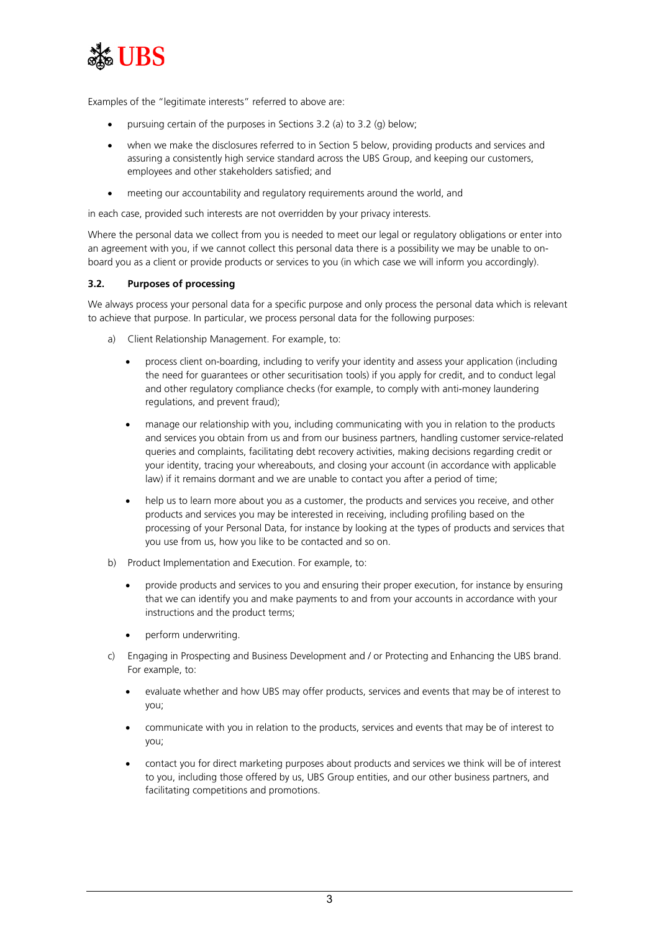

Examples of the "legitimate interests" referred to above are:

- pursuing certain of the purposes in Sections 3.2 [\(a\)](#page-2-0) to [3.2](#page-2-1) (g) below;
- when we make the disclosures referred to in Section 5 below, providing products and services and assuring a consistently high service standard across the UBS Group, and keeping our customers, employees and other stakeholders satisfied; and
- meeting our accountability and regulatory requirements around the world, and

in each case, provided such interests are not overridden by your privacy interests.

Where the personal data we collect from you is needed to meet our legal or regulatory obligations or enter into an agreement with you, if we cannot collect this personal data there is a possibility we may be unable to onboard you as a client or provide products or services to you (in which case we will inform you accordingly).

#### <span id="page-2-1"></span>**3.2. Purposes of processing**

We always process your personal data for a specific purpose and only process the personal data which is relevant to achieve that purpose. In particular, we process personal data for the following purposes:

- <span id="page-2-0"></span>a) Client Relationship Management. For example, to:
	- process client on-boarding, including to verify your identity and assess your application (including the need for guarantees or other securitisation tools) if you apply for credit, and to conduct legal and other regulatory compliance checks (for example, to comply with anti-money laundering regulations, and prevent fraud);
	- manage our relationship with you, including communicating with you in relation to the products and services you obtain from us and from our business partners, handling customer service-related queries and complaints, facilitating debt recovery activities, making decisions regarding credit or your identity, tracing your whereabouts, and closing your account (in accordance with applicable law) if it remains dormant and we are unable to contact you after a period of time;
	- help us to learn more about you as a customer, the products and services you receive, and other products and services you may be interested in receiving, including profiling based on the processing of your Personal Data, for instance by looking at the types of products and services that you use from us, how you like to be contacted and so on.
- b) Product Implementation and Execution. For example, to:
	- provide products and services to you and ensuring their proper execution, for instance by ensuring that we can identify you and make payments to and from your accounts in accordance with your instructions and the product terms;
	- perform underwriting.
- c) Engaging in Prospecting and Business Development and / or Protecting and Enhancing the UBS brand. For example, to:
	- evaluate whether and how UBS may offer products, services and events that may be of interest to you;
	- communicate with you in relation to the products, services and events that may be of interest to you;
	- contact you for direct marketing purposes about products and services we think will be of interest to you, including those offered by us, UBS Group entities, and our other business partners, and facilitating competitions and promotions.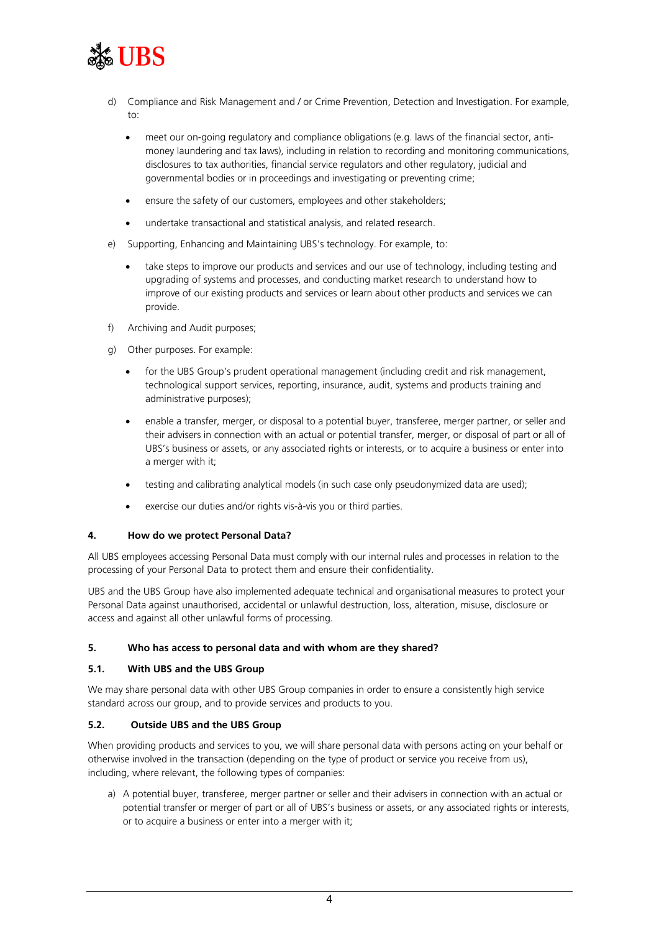

- d) Compliance and Risk Management and / or Crime Prevention, Detection and Investigation. For example, to:
	- meet our on-going regulatory and compliance obligations (e.g. laws of the financial sector, antimoney laundering and tax laws), including in relation to recording and monitoring communications, disclosures to tax authorities, financial service regulators and other regulatory, judicial and governmental bodies or in proceedings and investigating or preventing crime;
	- ensure the safety of our customers, employees and other stakeholders;
	- undertake transactional and statistical analysis, and related research.
- e) Supporting, Enhancing and Maintaining UBS's technology. For example, to:
	- take steps to improve our products and services and our use of technology, including testing and upgrading of systems and processes, and conducting market research to understand how to improve of our existing products and services or learn about other products and services we can provide.
- f) Archiving and Audit purposes;
- g) Other purposes. For example:
	- for the UBS Group's prudent operational management (including credit and risk management, technological support services, reporting, insurance, audit, systems and products training and administrative purposes);
	- enable a transfer, merger, or disposal to a potential buyer, transferee, merger partner, or seller and their advisers in connection with an actual or potential transfer, merger, or disposal of part or all of UBS's business or assets, or any associated rights or interests, or to acquire a business or enter into a merger with it;
	- testing and calibrating analytical models (in such case only pseudonymized data are used);
	- exercise our duties and/or rights vis-à-vis you or third parties.

#### **4. How do we protect Personal Data?**

All UBS employees accessing Personal Data must comply with our internal rules and processes in relation to the processing of your Personal Data to protect them and ensure their confidentiality.

UBS and the UBS Group have also implemented adequate technical and organisational measures to protect your Personal Data against unauthorised, accidental or unlawful destruction, loss, alteration, misuse, disclosure or access and against all other unlawful forms of processing.

#### **5. Who has access to personal data and with whom are they shared?**

#### **5.1. With UBS and the UBS Group**

We may share personal data with other UBS Group companies in order to ensure a consistently high service standard across our group, and to provide services and products to you.

#### **5.2. Outside UBS and the UBS Group**

When providing products and services to you, we will share personal data with persons acting on your behalf or otherwise involved in the transaction (depending on the type of product or service you receive from us), including, where relevant, the following types of companies:

a) A potential buyer, transferee, merger partner or seller and their advisers in connection with an actual or potential transfer or merger of part or all of UBS's business or assets, or any associated rights or interests, or to acquire a business or enter into a merger with it;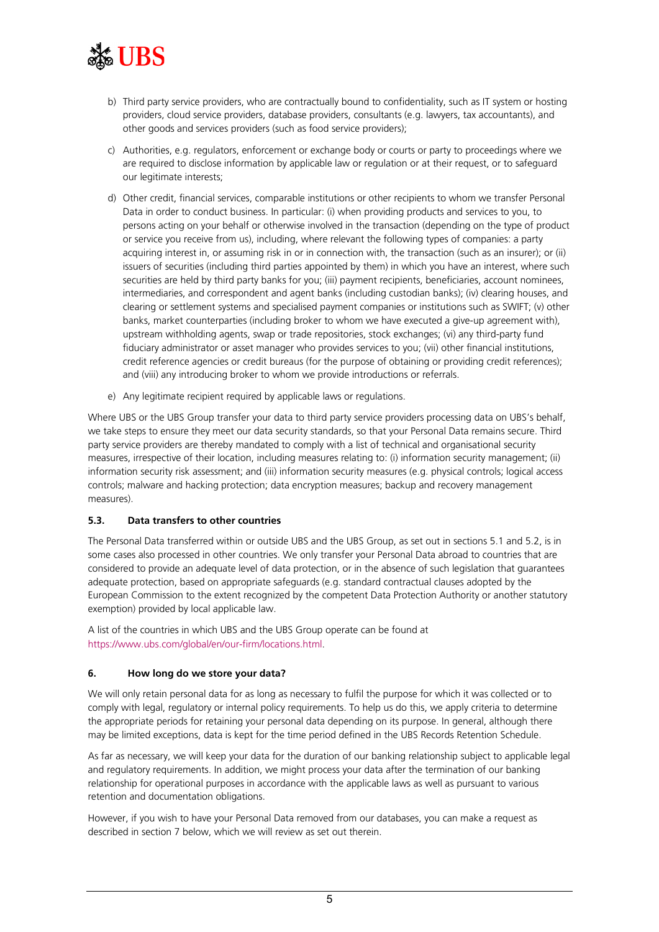

- b) Third party service providers, who are contractually bound to confidentiality, such as IT system or hosting providers, cloud service providers, database providers, consultants (e.g. lawyers, tax accountants), and other goods and services providers (such as food service providers);
- c) Authorities, e.g. regulators, enforcement or exchange body or courts or party to proceedings where we are required to disclose information by applicable law or regulation or at their request, or to safeguard our legitimate interests;
- d) Other credit, financial services, comparable institutions or other recipients to whom we transfer Personal Data in order to conduct business. In particular: (i) when providing products and services to you, to persons acting on your behalf or otherwise involved in the transaction (depending on the type of product or service you receive from us), including, where relevant the following types of companies: a party acquiring interest in, or assuming risk in or in connection with, the transaction (such as an insurer); or (ii) issuers of securities (including third parties appointed by them) in which you have an interest, where such securities are held by third party banks for you; (iii) payment recipients, beneficiaries, account nominees, intermediaries, and correspondent and agent banks (including custodian banks); (iv) clearing houses, and clearing or settlement systems and specialised payment companies or institutions such as SWIFT; (v) other banks, market counterparties (including broker to whom we have executed a give-up agreement with), upstream withholding agents, swap or trade repositories, stock exchanges; (vi) any third-party fund fiduciary administrator or asset manager who provides services to you; (vii) other financial institutions, credit reference agencies or credit bureaus (for the purpose of obtaining or providing credit references); and (viii) any introducing broker to whom we provide introductions or referrals.
- e) Any legitimate recipient required by applicable laws or regulations.

Where UBS or the UBS Group transfer your data to third party service providers processing data on UBS's behalf, we take steps to ensure they meet our data security standards, so that your Personal Data remains secure. Third party service providers are thereby mandated to comply with a list of technical and organisational security measures, irrespective of their location, including measures relating to: (i) information security management; (ii) information security risk assessment; and (iii) information security measures (e.g. physical controls; logical access controls; malware and hacking protection; data encryption measures; backup and recovery management measures).

#### **5.3. Data transfers to other countries**

The Personal Data transferred within or outside UBS and the UBS Group, as set out in sections 5.1 and 5.2, is in some cases also processed in other countries. We only transfer your Personal Data abroad to countries that are considered to provide an adequate level of data protection, or in the absence of such legislation that guarantees adequate protection, based on appropriate safeguards (e.g. standard contractual clauses adopted by the European Commission to the extent recognized by the competent Data Protection Authority or another statutory exemption) provided by local applicable law.

A list of the countries in which UBS and the UBS Group operate can be found at [https://www.ubs.com/global/en/our-firm/locations.html.](https://www.ubs.com/global/en/our-firm/locations.html)

#### **6. How long do we store your data?**

We will only retain personal data for as long as necessary to fulfil the purpose for which it was collected or to comply with legal, regulatory or internal policy requirements. To help us do this, we apply criteria to determine the appropriate periods for retaining your personal data depending on its purpose. In general, although there may be limited exceptions, data is kept for the time period defined in the UBS Records Retention Schedule.

As far as necessary, we will keep your data for the duration of our banking relationship subject to applicable legal and regulatory requirements. In addition, we might process your data after the termination of our banking relationship for operational purposes in accordance with the applicable laws as well as pursuant to various retention and documentation obligations.

However, if you wish to have your Personal Data removed from our databases, you can make a request as described in section 7 below, which we will review as set out therein.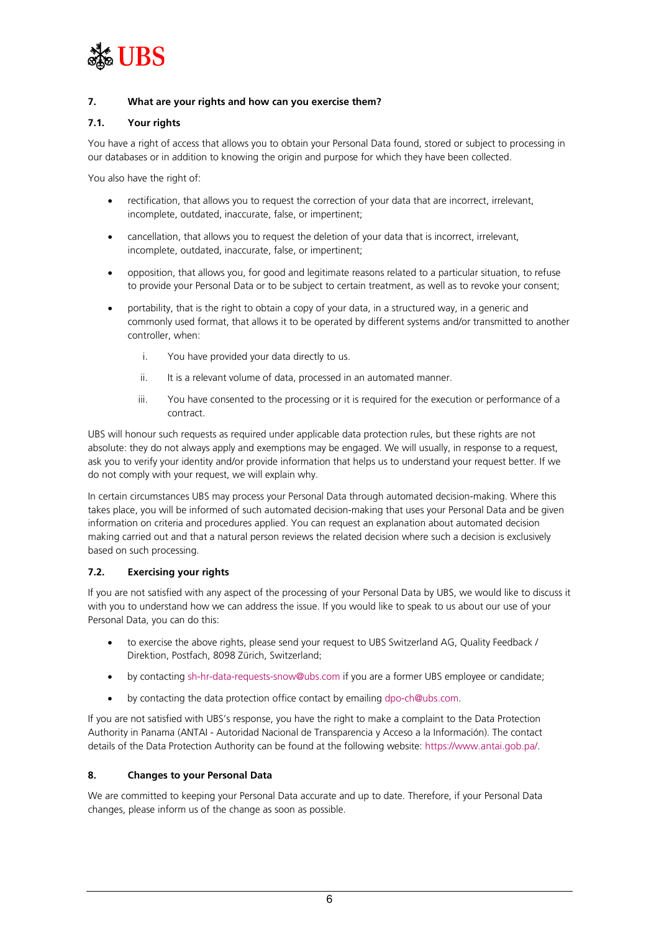

#### **7. What are your rights and how can you exercise them?**

#### **7.1. Your rights**

You have a right of access that allows you to obtain your Personal Data found, stored or subject to processing in our databases or in addition to knowing the origin and purpose for which they have been collected.

You also have the right of:

- rectification, that allows you to request the correction of your data that are incorrect, irrelevant, incomplete, outdated, inaccurate, false, or impertinent;
- cancellation, that allows you to request the deletion of your data that is incorrect, irrelevant, incomplete, outdated, inaccurate, false, or impertinent;
- opposition, that allows you, for good and legitimate reasons related to a particular situation, to refuse to provide your Personal Data or to be subject to certain treatment, as well as to revoke your consent;
- portability, that is the right to obtain a copy of your data, in a structured way, in a generic and commonly used format, that allows it to be operated by different systems and/or transmitted to another controller, when:
	- i. You have provided your data directly to us.
	- ii. It is a relevant volume of data, processed in an automated manner.
	- iii. You have consented to the processing or it is required for the execution or performance of a contract.

UBS will honour such requests as required under applicable data protection rules, but these rights are not absolute: they do not always apply and exemptions may be engaged. We will usually, in response to a request, ask you to verify your identity and/or provide information that helps us to understand your request better. If we do not comply with your request, we will explain why.

In certain circumstances UBS may process your Personal Data through automated decision-making. Where this takes place, you will be informed of such automated decision-making that uses your Personal Data and be given information on criteria and procedures applied. You can request an explanation about automated decision making carried out and that a natural person reviews the related decision where such a decision is exclusively based on such processing.

#### **7.2. Exercising your rights**

If you are not satisfied with any aspect of the processing of your Personal Data by UBS, we would like to discuss it with you to understand how we can address the issue. If you would like to speak to us about our use of your Personal Data, you can do this:

- to exercise the above rights, please send your request to UBS Switzerland AG, Quality Feedback / Direktion, Postfach, 8098 Zürich, Switzerland;
- by contactin[g sh-hr-data-requests-snow@ubs.com](mailto:sh-hr-data-requests-snow@ubs.com) if you are a former UBS employee or candidate;
- by contacting the data protection office contact by emailin[g dpo-ch@ubs.com.](mailto:dpo-ch@ubs.com)

If you are not satisfied with UBS's response, you have the right to make a complaint to the Data Protection Authority in Panama (ANTAI - Autoridad Nacional de Transparencia y Acceso a la Información). The contact details of the Data Protection Authority can be found at the following website: [https://www.antai.gob.pa/.](https://www.antai.gob.pa/)

#### **8. Changes to your Personal Data**

We are committed to keeping your Personal Data accurate and up to date. Therefore, if your Personal Data changes, please inform us of the change as soon as possible.